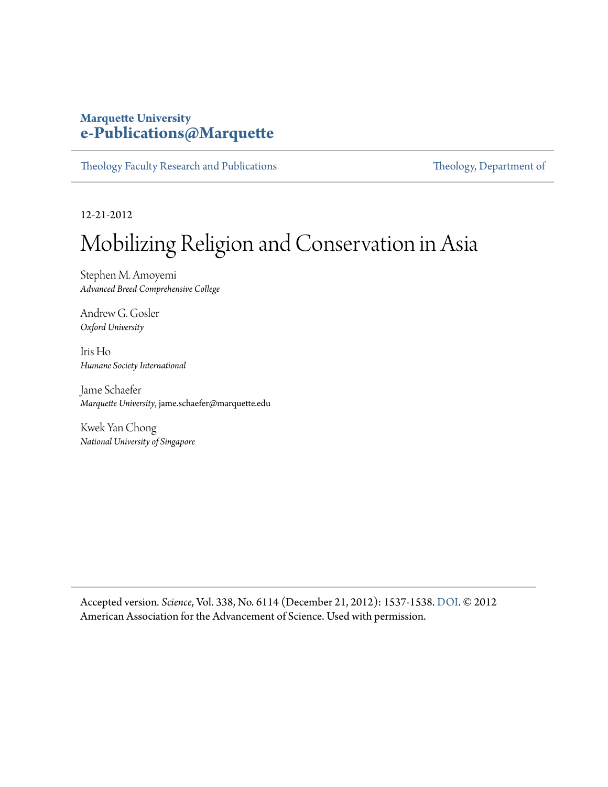#### **Marquette University [e-Publications@Marquette](https://epublications.marquette.edu)**

[Theology Faculty Research and Publications](https://epublications.marquette.edu/theo_fac) [Theology, Department of](https://epublications.marquette.edu/Theology)

12-21-2012

# Mobilizing Religion and Conservation in Asia

Stephen M. Amoyemi *Advanced Breed Comprehensive College*

Andrew G. Gosler *Oxford University*

Iris Ho *Humane Society International*

Jame Schaefer *Marquette University*, jame.schaefer@marquette.edu

Kwek Yan Chong *National University of Singapore*

Accepted version*. Science*, Vol. 338, No. 6114 (December 21, 2012): 1537-1538. [DOI.](http://dx.doi.org/10.1126/science.338.6114.1537-b) © 2012 American Association for the Advancement of Science. Used with permission.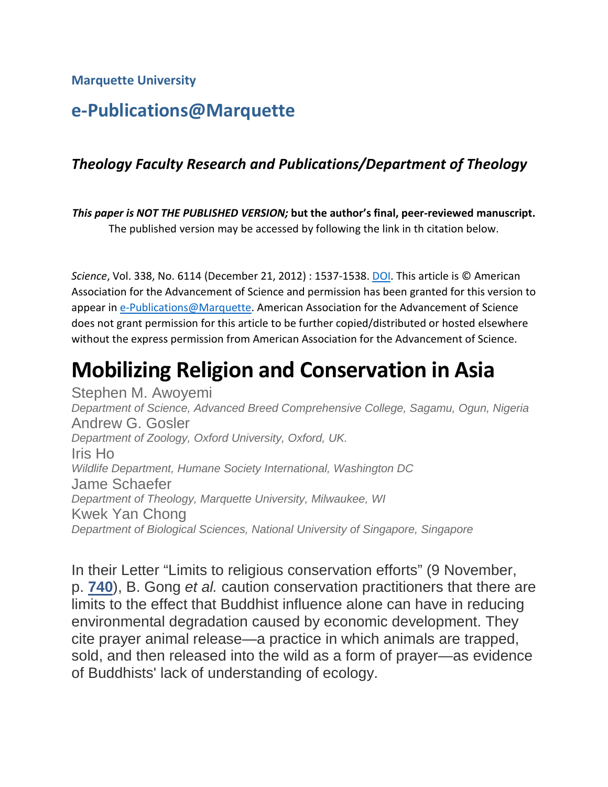**Marquette University**

### **e-Publications@Marquette**

#### *Theology Faculty Research and Publications/Department of Theology*

*This paper is NOT THE PUBLISHED VERSION;* **but the author's final, peer-reviewed manuscript.**  The published version may be accessed by following the link in th citation below.

*Science*, Vol. 338, No. 6114 (December 21, 2012) : 1537-1538. [DOI.](https://doi.org/10.1126/science.338.6114.1537-b) This article is © American Association for the Advancement of Science and permission has been granted for this version to appear i[n e-Publications@Marquette.](http://epublications.marquette.edu/) American Association for the Advancement of Science does not grant permission for this article to be further copied/distributed or hosted elsewhere without the express permission from American Association for the Advancement of Science.

## **Mobilizing Religion and Conservation in Asia**

Stephen M. Awoyemi *Department of Science, Advanced Breed Comprehensive College, Sagamu, Ogun, Nigeria* Andrew G. Gosler *Department of Zoology, Oxford University, Oxford, UK.* Iris Ho *Wildlife Department, Humane Society International, Washington DC* Jame Schaefer *Department of Theology, Marquette University, Milwaukee, WI* Kwek Yan Chong *Department of Biological Sciences, National University of Singapore, Singapore*

In their Letter "Limits to religious conservation efforts" (9 November, p. **[740](http://science.sciencemag.org/lookup/doi/10.1126/science.338.6108.740-a)**), B. Gong *et al.* caution conservation practitioners that there are limits to the effect that Buddhist influence alone can have in reducing environmental degradation caused by economic development. They cite prayer animal release—a practice in which animals are trapped, sold, and then released into the wild as a form of prayer—as evidence of Buddhists' lack of understanding of ecology.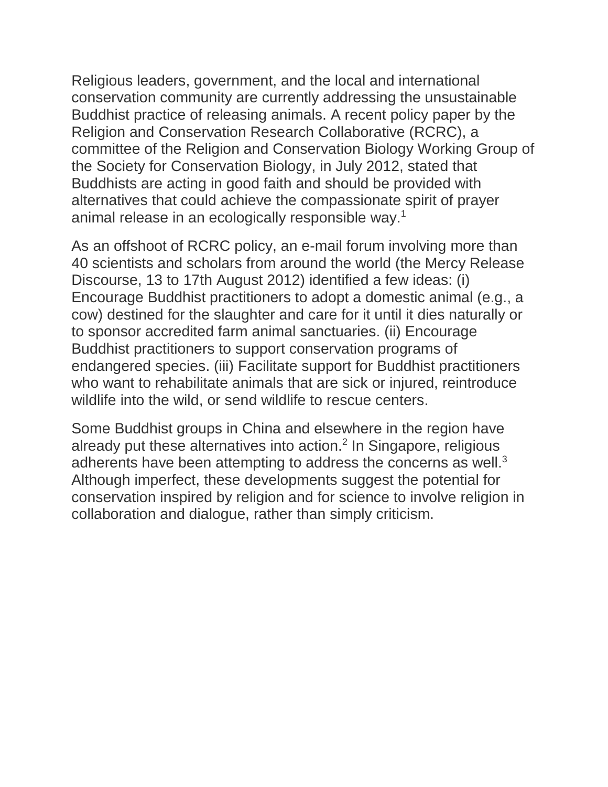Religious leaders, government, and the local and international conservation community are currently addressing the unsustainable Buddhist practice of releasing animals. A recent policy paper by the Religion and Conservation Research Collaborative (RCRC), a committee of the Religion and Conservation Biology Working Group of the Society for Conservation Biology, in July 2012, stated that Buddhists are acting in good faith and should be provided with alternatives that could achieve the compassionate spirit of prayer animal release in an ecologically responsible way. 1

As an offshoot of RCRC policy, an e-mail forum involving more than 40 scientists and scholars from around the world (the Mercy Release Discourse, 13 to 17th August 2012) identified a few ideas: (i) Encourage Buddhist practitioners to adopt a domestic animal (e.g., a cow) destined for the slaughter and care for it until it dies naturally or to sponsor accredited farm animal sanctuaries. (ii) Encourage Buddhist practitioners to support conservation programs of endangered species. (iii) Facilitate support for Buddhist practitioners who want to rehabilitate animals that are sick or injured, reintroduce wildlife into the wild, or send wildlife to rescue centers.

Some Buddhist groups in China and elsewhere in the region have already put these alternatives into action. <sup>2</sup> In Singapore, religious adherents have been attempting to address the concerns as well. $^3$ Although imperfect, these developments suggest the potential for conservation inspired by religion and for science to involve religion in collaboration and dialogue, rather than simply criticism.